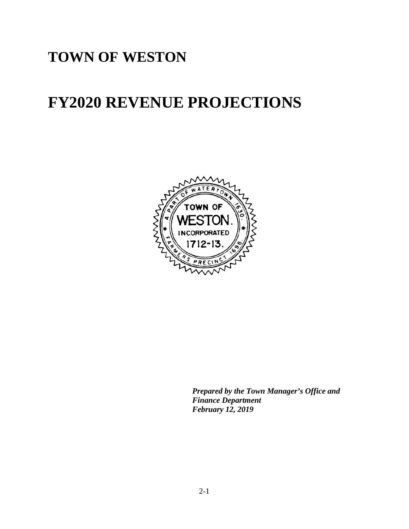# **TOWN OF WESTON**

# **FY2020 REVENUE PROJECTIONS**



*Prepared by the Town Manager's Office and Finance Department February 12, 2019*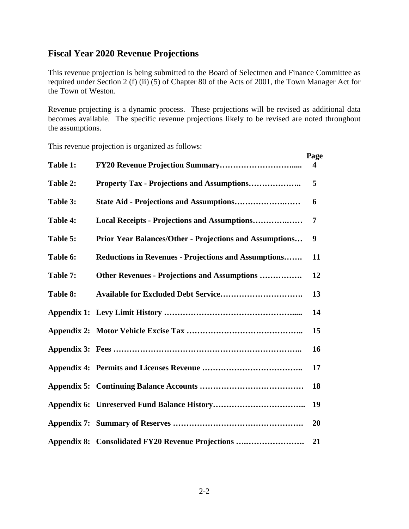#### **Fiscal Year 2020 Revenue Projections**

This revenue projection is being submitted to the Board of Selectmen and Finance Committee as required under Section 2 (f) (ii) (5) of Chapter 80 of the Acts of 2001, the Town Manager Act for the Town of Weston.

Revenue projecting is a dynamic process. These projections will be revised as additional data becomes available. The specific revenue projections likely to be revised are noted throughout the assumptions.

This revenue projection is organized as follows:

|          |                                                                | Page |
|----------|----------------------------------------------------------------|------|
| Table 1: |                                                                | 4    |
| Table 2: | <b>Property Tax - Projections and Assumptions</b>              | 5    |
| Table 3: |                                                                | 6    |
| Table 4: | Local Receipts - Projections and Assumptions                   | 7    |
| Table 5: | <b>Prior Year Balances/Other - Projections and Assumptions</b> | 9    |
| Table 6: | <b>Reductions in Revenues - Projections and Assumptions</b>    | 11   |
| Table 7: | <b>Other Revenues - Projections and Assumptions </b>           | 12   |
| Table 8: |                                                                | 13   |
|          |                                                                | 14   |
|          |                                                                | 15   |
|          |                                                                | 16   |
|          |                                                                | 17   |
|          |                                                                | 18   |
|          |                                                                | 19   |
|          |                                                                | 20   |
|          | Appendix 8: Consolidated FY20 Revenue Projections              | 21   |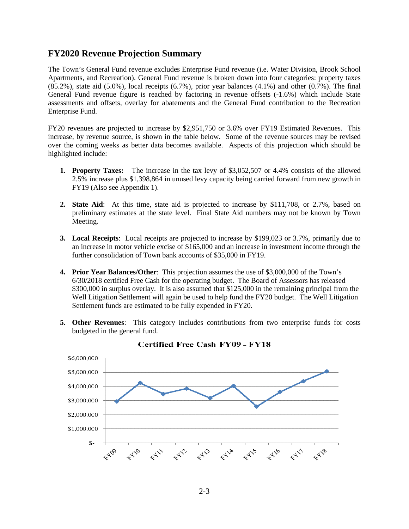#### **FY2020 Revenue Projection Summary**

The Town's General Fund revenue excludes Enterprise Fund revenue (i.e. Water Division, Brook School Apartments, and Recreation). General Fund revenue is broken down into four categories: property taxes  $(85.2\%)$ , state aid  $(5.0\%)$ , local receipts  $(6.7\%)$ , prior year balances  $(4.1\%)$  and other  $(0.7\%)$ . The final General Fund revenue figure is reached by factoring in revenue offsets (-1.6%) which include State assessments and offsets, overlay for abatements and the General Fund contribution to the Recreation Enterprise Fund.

FY20 revenues are projected to increase by \$2,951,750 or 3.6% over FY19 Estimated Revenues. This increase, by revenue source, is shown in the table below. Some of the revenue sources may be revised over the coming weeks as better data becomes available. Aspects of this projection which should be highlighted include:

- **1. Property Taxes:** The increase in the tax levy of \$3,052,507 or 4.4% consists of the allowed 2.5% increase plus \$1,398,864 in unused levy capacity being carried forward from new growth in FY19 (Also see Appendix 1).
- **2. State Aid**: At this time, state aid is projected to increase by \$111,708, or 2.7%, based on preliminary estimates at the state level. Final State Aid numbers may not be known by Town Meeting.
- **3. Local Receipts**: Local receipts are projected to increase by \$199,023 or 3.7%, primarily due to an increase in motor vehicle excise of \$165,000 and an increase in investment income through the further consolidation of Town bank accounts of \$35,000 in FY19.
- **4. Prior Year Balances/Other**: This projection assumes the use of \$3,000,000 of the Town's 6/30/2018 certified Free Cash for the operating budget. The Board of Assessors has released \$300,000 in surplus overlay. It is also assumed that \$125,000 in the remaining principal from the Well Litigation Settlement will again be used to help fund the FY20 budget. The Well Litigation Settlement funds are estimated to be fully expended in FY20.
- **5. Other Revenues**: This category includes contributions from two enterprise funds for costs budgeted in the general fund.



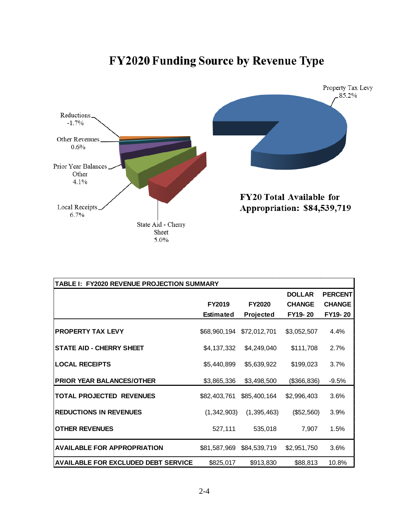# **FY2020 Funding Source by Revenue Type**



| TABLE I: FY2020 REVENUE PROJECTION SUMMARY |                  |               |               |                |  |  |  |  |  |  |  |
|--------------------------------------------|------------------|---------------|---------------|----------------|--|--|--|--|--|--|--|
|                                            |                  |               | <b>DOLLAR</b> | <b>PERCENT</b> |  |  |  |  |  |  |  |
|                                            | FY2019           | <b>FY2020</b> | <b>CHANGE</b> | <b>CHANGE</b>  |  |  |  |  |  |  |  |
|                                            | <b>Estimated</b> | Projected     | FY19-20       | FY19-20        |  |  |  |  |  |  |  |
| <b>PROPERTY TAX LEVY</b>                   | \$68,960,194     | \$72,012,701  | \$3,052,507   | 4.4%           |  |  |  |  |  |  |  |
| <b>STATE AID - CHERRY SHEET</b>            | \$4,137,332      | \$4,249,040   | \$111,708     | 2.7%           |  |  |  |  |  |  |  |
| <b>LOCAL RECEIPTS</b>                      | \$5,440,899      | \$5,639,922   | \$199,023     | 3.7%           |  |  |  |  |  |  |  |
| <b>PRIOR YEAR BALANCES/OTHER</b>           | \$3,865,336      | \$3,498,500   | (\$366, 836)  | $-9.5%$        |  |  |  |  |  |  |  |
| <b>TOTAL PROJECTED REVENUES</b>            | \$82,403,761     | \$85,400,164  | \$2,996,403   | 3.6%           |  |  |  |  |  |  |  |
| <b>REDUCTIONS IN REVENUES</b>              | (1,342,903)      | (1, 395, 463) | (\$52,560)    | 3.9%           |  |  |  |  |  |  |  |
| <b>OTHER REVENUES</b>                      | 527,111          | 535,018       | 7,907         | 1.5%           |  |  |  |  |  |  |  |
| <b>AVAILABLE FOR APPROPRIATION</b>         | \$81,587,969     | \$84,539,719  | \$2,951,750   | 3.6%           |  |  |  |  |  |  |  |
| <b>AVAILABLE FOR EXCLUDED DEBT SERVICE</b> | \$825,017        | \$913,830     | \$88,813      | 10.8%          |  |  |  |  |  |  |  |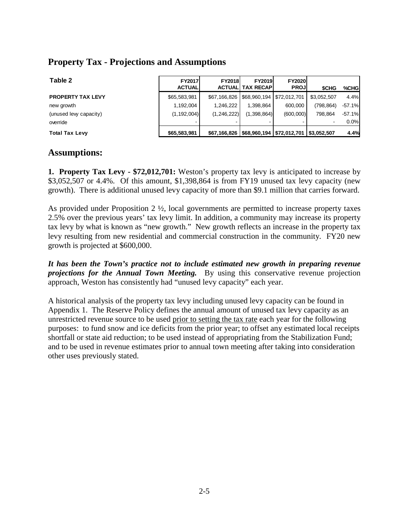#### **Property Tax - Projections and Assumptions**

| Table 2                  | <b>FY2017</b> | <b>FY2018</b> | <b>FY2019</b>                                            | <b>FY2020</b> |                          |           |
|--------------------------|---------------|---------------|----------------------------------------------------------|---------------|--------------------------|-----------|
|                          | <b>ACTUAL</b> |               | <b>ACTUALI TAX RECAPI</b>                                | <b>PROJ</b>   | <b>SCHG</b>              | %CHGI     |
| <b>PROPERTY TAX LEVY</b> | \$65,583,981  |               | \$67,166,826   \$68,960,194   \$72,012,701               |               | \$3.052.507              | 4.4%      |
| new growth               | 1.192.004     | 1.246.222     | 1.398.864                                                | 600.000       | (798.864)                | $-57.1%$  |
| (unused levy capacity)   | (1, 192, 004) | (1, 246, 222) | (1,398,864)                                              | (600,000)     | 798.864                  | $-57.1\%$ |
| override                 |               |               |                                                          |               | $\overline{\phantom{a}}$ | 0.0%      |
| <b>Total Tax Levy</b>    | \$65,583,981  |               | \$67,166,826   \$68,960,194   \$72,012,701   \$3,052,507 |               |                          | 4.4%      |

#### **Assumptions:**

**1. Property Tax Levy - \$72,012,701:** Weston's property tax levy is anticipated to increase by \$3,052,507 or 4.4%. Of this amount, \$1,398,864 is from FY19 unused tax levy capacity (new growth). There is additional unused levy capacity of more than \$9.1 million that carries forward.

As provided under Proposition  $2 \frac{1}{2}$ , local governments are permitted to increase property taxes 2.5% over the previous years' tax levy limit. In addition, a community may increase its property tax levy by what is known as "new growth." New growth reflects an increase in the property tax levy resulting from new residential and commercial construction in the community. FY20 new growth is projected at \$600,000.

*It has been the Town's practice not to include estimated new growth in preparing revenue projections for the Annual Town Meeting.* By using this conservative revenue projection approach, Weston has consistently had "unused levy capacity" each year.

A historical analysis of the property tax levy including unused levy capacity can be found in Appendix 1. The Reserve Policy defines the annual amount of unused tax levy capacity as an unrestricted revenue source to be used prior to setting the tax rate each year for the following purposes: to fund snow and ice deficits from the prior year; to offset any estimated local receipts shortfall or state aid reduction; to be used instead of appropriating from the Stabilization Fund; and to be used in revenue estimates prior to annual town meeting after taking into consideration other uses previously stated.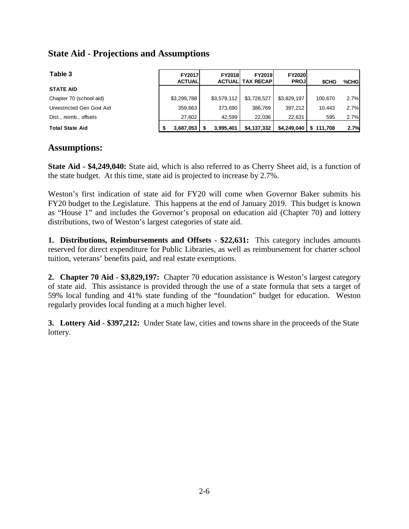#### **State Aid - Projections and Assumptions**

| Table 3                   | FY2017<br><b>ACTUAL</b> | <b>FY2018</b><br><b>ACTUALI</b> | <b>FY2019</b><br><b>TAX RECAPI</b> | <b>FY2020</b><br><b>PROJ</b> | <b>SCHG</b> | %CHGI |
|---------------------------|-------------------------|---------------------------------|------------------------------------|------------------------------|-------------|-------|
| <b>STATE AID</b>          |                         |                                 |                                    |                              |             |       |
| Chapter 70 (school aid)   | \$3,299,788             | \$3,579,112                     | \$3,728,527                        | \$3,829,197                  | 100.670     | 2.7%  |
| Unrestricted Gen Govt Aid | 359.663                 | 373.690                         | 386.769                            | 397.212                      | 10.443      | 2.7%  |
| Dist., reimb., offsets    | 27,602                  | 42,599                          | 22,036                             | 22,631                       | 595         | 2.7%  |
| <b>Total State Aid</b>    | 3,687,053               | 3,995,401                       | \$4,137,332                        | $$4,249,040$   \$111,708     |             | 2.7%  |

#### **Assumptions:**

**State Aid - \$4,249,040:** State aid, which is also referred to as Cherry Sheet aid, is a function of the state budget. At this time, state aid is projected to increase by 2.7%.

Weston's first indication of state aid for FY20 will come when Governor Baker submits his FY20 budget to the Legislature. This happens at the end of January 2019. This budget is known as "House 1" and includes the Governor's proposal on education aid (Chapter 70) and lottery distributions, two of Weston's largest categories of state aid.

**1. Distributions, Reimbursements and Offsets - \$22,631:** This category includes amounts reserved for direct expenditure for Public Libraries, as well as reimbursement for charter school tuition, veterans' benefits paid, and real estate exemptions.

**2. Chapter 70 Aid - \$3,829,197:** Chapter 70 education assistance is Weston's largest category of state aid. This assistance is provided through the use of a state formula that sets a target of 59% local funding and 41% state funding of the "foundation" budget for education. Weston regularly provides local funding at a much higher level.

**3. Lottery Aid - \$397,212:** Under State law, cities and towns share in the proceeds of the State lottery.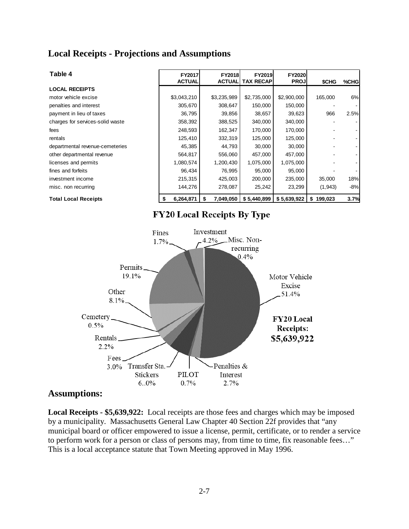#### **Local Receipts - Projections and Assumptions**

| Table 4                          | FY2017<br><b>ACTUAL</b> | <b>FY2018</b><br><b>ACTUAL</b> | <b>FY2019</b><br>TAX RECAP | <b>FY2020</b><br><b>PROJ</b> | \$CHG         | %CHG  |
|----------------------------------|-------------------------|--------------------------------|----------------------------|------------------------------|---------------|-------|
| <b>LOCAL RECEIPTS</b>            |                         |                                |                            |                              |               |       |
| motor vehicle excise             | \$3,043,210             | \$3,235,989                    | \$2,735,000                | \$2,900,000                  | 165,000       | 6%    |
| penalties and interest           | 305,670                 | 308,647                        | 150,000                    | 150,000                      |               |       |
| payment in lieu of taxes         | 36,795                  | 39,856                         | 38,657                     | 39,623                       | 966           | 2.5%  |
| charges for services-solid waste | 358,392                 | 388,525                        | 340,000                    | 340,000                      |               |       |
| fees                             | 248,593                 | 162,347                        | 170,000                    | 170,000                      |               |       |
| rentals                          | 125,410                 | 332,319                        | 125,000                    | 125,000                      |               |       |
| departmental revenue-cemeteries  | 45,385                  | 44,793                         | 30,000                     | 30,000                       |               |       |
| other departmental revenue       | 564,817                 | 556,060                        | 457,000                    | 457,000                      |               |       |
| licenses and permits             | 1,080,574               | 1,200,430                      | 1,075,000                  | 1,075,000                    |               |       |
| fines and forfeits               | 96,434                  | 76,995                         | 95,000                     | 95,000                       |               |       |
| investment income                | 215,315                 | 425,003                        | 200,000                    | 235,000                      | 35,000        | 18%   |
| misc. non recurring              | 144,276                 | 278,087                        | 25,242                     | 23,299                       | (1,943)       | $-8%$ |
| <b>Total Local Receipts</b>      | 6,264,871               | 7,049,050<br>S                 | \$5,440,899                | \$5,639,922                  | 199,023<br>\$ | 3.7%  |

#### **FY20 Local Receipts By Type**



#### **Assumptions:**

**Local Receipts - \$5,639,922:** Local receipts are those fees and charges which may be imposed by a municipality. Massachusetts General Law Chapter 40 Section 22f provides that "any municipal board or officer empowered to issue a license, permit, certificate, or to render a service to perform work for a person or class of persons may, from time to time, fix reasonable fees…" This is a local acceptance statute that Town Meeting approved in May 1996.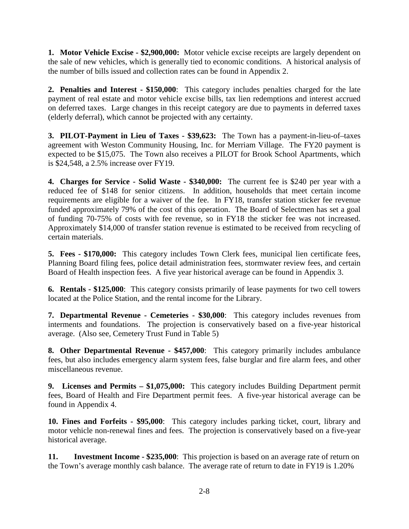**1. Motor Vehicle Excise - \$2,900,000:** Motor vehicle excise receipts are largely dependent on the sale of new vehicles, which is generally tied to economic conditions. A historical analysis of the number of bills issued and collection rates can be found in Appendix 2.

**2. Penalties and Interest - \$150,000**: This category includes penalties charged for the late payment of real estate and motor vehicle excise bills, tax lien redemptions and interest accrued on deferred taxes. Large changes in this receipt category are due to payments in deferred taxes (elderly deferral), which cannot be projected with any certainty.

**3. PILOT-Payment in Lieu of Taxes - \$39,623:** The Town has a payment-in-lieu-of–taxes agreement with Weston Community Housing, Inc. for Merriam Village. The FY20 payment is expected to be \$15,075. The Town also receives a PILOT for Brook School Apartments, which is \$24,548, a 2.5% increase over FY19.

**4. Charges for Service - Solid Waste - \$340,000:** The current fee is \$240 per year with a reduced fee of \$148 for senior citizens. In addition, households that meet certain income requirements are eligible for a waiver of the fee. In FY18, transfer station sticker fee revenue funded approximately 79% of the cost of this operation. The Board of Selectmen has set a goal of funding 70-75% of costs with fee revenue, so in FY18 the sticker fee was not increased. Approximately \$14,000 of transfer station revenue is estimated to be received from recycling of certain materials.

**5. Fees - \$170,000:** This category includes Town Clerk fees, municipal lien certificate fees, Planning Board filing fees, police detail administration fees, stormwater review fees, and certain Board of Health inspection fees. A five year historical average can be found in Appendix 3.

**6. Rentals - \$125,000**: This category consists primarily of lease payments for two cell towers located at the Police Station, and the rental income for the Library.

**7. Departmental Revenue - Cemeteries - \$30,000**: This category includes revenues from interments and foundations. The projection is conservatively based on a five-year historical average. (Also see, Cemetery Trust Fund in Table 5)

**8. Other Departmental Revenue - \$457,000**: This category primarily includes ambulance fees, but also includes emergency alarm system fees, false burglar and fire alarm fees, and other miscellaneous revenue.

**9. Licenses and Permits – \$1,075,000:** This category includes Building Department permit fees, Board of Health and Fire Department permit fees. A five-year historical average can be found in Appendix 4.

**10. Fines and Forfeits - \$95,000**: This category includes parking ticket, court, library and motor vehicle non-renewal fines and fees. The projection is conservatively based on a five-year historical average.

**11. Investment Income - \$235,000**: This projection is based on an average rate of return on the Town's average monthly cash balance. The average rate of return to date in FY19 is 1.20%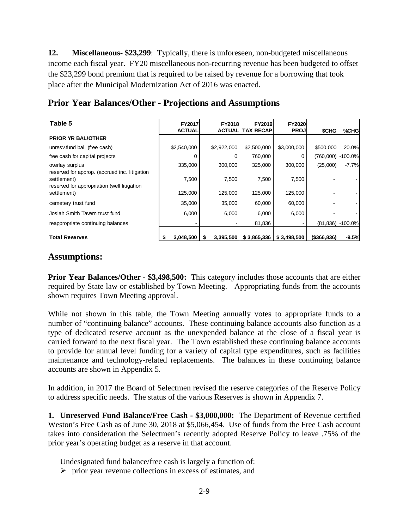**12. Miscellaneous- \$23,299**: Typically, there is unforeseen, non-budgeted miscellaneous income each fiscal year. FY20 miscellaneous non-recurring revenue has been budgeted to offset the \$23,299 bond premium that is required to be raised by revenue for a borrowing that took place after the Municipal Modernization Act of 2016 was enacted.

| Table 5                                                          | FY2017<br><b>ACTUAL</b> | FY2018<br><b>ACTUAL</b> | <b>FY2019</b><br>TAX RECAP   | <b>FY2020</b><br><b>PROJ</b> | \$CHG        | %CHG                  |
|------------------------------------------------------------------|-------------------------|-------------------------|------------------------------|------------------------------|--------------|-----------------------|
| <b>PRIOR YR BAL/OTHER</b>                                        |                         |                         |                              |                              |              |                       |
| unresv.fund bal. (free cash)                                     | \$2,540,000             | \$2,922,000             | \$2,500,000                  | \$3,000,000                  | \$500,000    | 20.0%                 |
| free cash for capital projects                                   | U                       | 0                       | 760,000                      |                              | (760,000)    | -100.0%               |
| overlay surplus<br>reserved for approp. (accrued inc. litigation | 335,000                 | 300,000                 | 325,000                      | 300,000                      | (25,000)     | $-7.7%$               |
| settlement)<br>reserved for appropriation (well litigation       | 7,500                   | 7,500                   | 7,500                        | 7,500                        |              |                       |
| settlement)                                                      | 125,000                 | 125,000                 | 125,000                      | 125,000                      |              |                       |
| cemetery trust fund                                              | 35,000                  | 35,000                  | 60,000                       | 60,000                       |              |                       |
| Josiah Smith Tavern trust fund                                   | 6,000                   | 6,000                   | 6,000                        | 6,000                        |              |                       |
| reappropriate continuing balances                                |                         |                         | 81,836                       |                              |              | $(81, 836) - 100.0\%$ |
| <b>Total Reserves</b>                                            | 3,048,500               | 3,395,500               | $$3,865,336 \mid $3,498,500$ |                              | (\$366, 836) | $-9.5%$               |

#### **Prior Year Balances/Other - Projections and Assumptions**

#### **Assumptions:**

**Prior Year Balances/Other - \$3,498,500:** This category includes those accounts that are either required by State law or established by Town Meeting. Appropriating funds from the accounts shown requires Town Meeting approval.

While not shown in this table, the Town Meeting annually votes to appropriate funds to a number of "continuing balance" accounts. These continuing balance accounts also function as a type of dedicated reserve account as the unexpended balance at the close of a fiscal year is carried forward to the next fiscal year. The Town established these continuing balance accounts to provide for annual level funding for a variety of capital type expenditures, such as facilities maintenance and technology-related replacements. The balances in these continuing balance accounts are shown in Appendix 5.

In addition, in 2017 the Board of Selectmen revised the reserve categories of the Reserve Policy to address specific needs. The status of the various Reserves is shown in Appendix 7.

**1. Unreserved Fund Balance/Free Cash - \$3,000,000:** The Department of Revenue certified Weston's Free Cash as of June 30, 2018 at \$5,066,454. Use of funds from the Free Cash account takes into consideration the Selectmen's recently adopted Reserve Policy to leave .75% of the prior year's operating budget as a reserve in that account.

Undesignated fund balance/free cash is largely a function of:

 $\triangleright$  prior year revenue collections in excess of estimates, and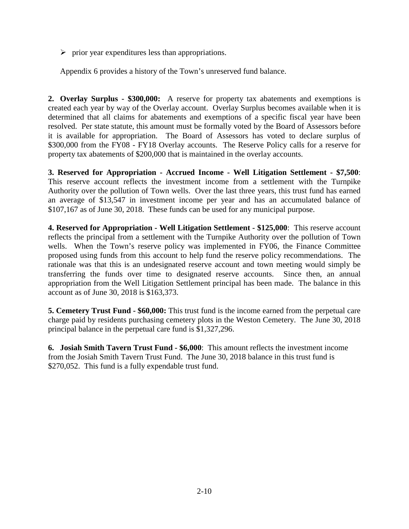$\triangleright$  prior year expenditures less than appropriations.

Appendix 6 provides a history of the Town's unreserved fund balance.

**2. Overlay Surplus - \$300,000:** A reserve for property tax abatements and exemptions is created each year by way of the Overlay account. Overlay Surplus becomes available when it is determined that all claims for abatements and exemptions of a specific fiscal year have been resolved. Per state statute, this amount must be formally voted by the Board of Assessors before it is available for appropriation. The Board of Assessors has voted to declare surplus of \$300,000 from the FY08 - FY18 Overlay accounts. The Reserve Policy calls for a reserve for property tax abatements of \$200,000 that is maintained in the overlay accounts.

**3. Reserved for Appropriation - Accrued Income - Well Litigation Settlement - \$7,500**: This reserve account reflects the investment income from a settlement with the Turnpike Authority over the pollution of Town wells. Over the last three years, this trust fund has earned an average of \$13,547 in investment income per year and has an accumulated balance of \$107,167 as of June 30, 2018. These funds can be used for any municipal purpose.

**4. Reserved for Appropriation - Well Litigation Settlement - \$125,000**: This reserve account reflects the principal from a settlement with the Turnpike Authority over the pollution of Town wells. When the Town's reserve policy was implemented in FY06, the Finance Committee proposed using funds from this account to help fund the reserve policy recommendations. The rationale was that this is an undesignated reserve account and town meeting would simply be transferring the funds over time to designated reserve accounts. Since then, an annual appropriation from the Well Litigation Settlement principal has been made. The balance in this account as of June 30, 2018 is \$163,373.

**5. Cemetery Trust Fund - \$60,000:** This trust fund is the income earned from the perpetual care charge paid by residents purchasing cemetery plots in the Weston Cemetery. The June 30, 2018 principal balance in the perpetual care fund is \$1,327,296.

**6. Josiah Smith Tavern Trust Fund - \$6,000**: This amount reflects the investment income from the Josiah Smith Tavern Trust Fund. The June 30, 2018 balance in this trust fund is \$270,052. This fund is a fully expendable trust fund.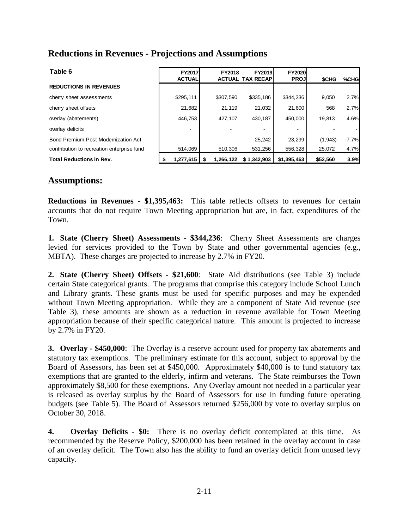#### **Reductions in Revenues - Projections and Assumptions**

| Table 6                                    | FY2017<br><b>ACTUAL</b> | <b>FY2018</b><br><b>ACTUALI</b> | <b>FY2019</b><br><b>TAX RECAP</b> | <b>FY2020</b><br><b>PROJ</b> | <b>SCHG</b> | %CHG    |
|--------------------------------------------|-------------------------|---------------------------------|-----------------------------------|------------------------------|-------------|---------|
| <b>REDUCTIONS IN REVENUES</b>              |                         |                                 |                                   |                              |             |         |
| cherry sheet assessments                   | \$295,111               | \$307,590                       | \$335,186                         | \$344,236                    | 9,050       | 2.7%    |
| cherry sheet offsets                       | 21,682                  | 21.119                          | 21,032                            | 21.600                       | 568         | 2.7%    |
| overlay (abatements)                       | 446.753                 | 427.107                         | 430.187                           | 450.000                      | 19.813      | 4.6%    |
| overlay deficits                           | -                       |                                 |                                   |                              |             |         |
| Bond Premium Post Modernization Act        |                         |                                 | 25,242                            | 23,299                       | (1, 943)    | $-7.7%$ |
| contribution to recreation enterprise fund | 514.069                 | 510.306                         | 531.256                           | 556.328                      | 25,072      | 4.7%    |
| <b>Total Reductions in Rev.</b>            | 1,277,615               | 1,266,122                       | \$1,342,903                       | \$1.395,463                  | \$52,560    | 3.9%    |

#### **Assumptions:**

**Reductions in Revenues - \$1,395,463:** This table reflects offsets to revenues for certain accounts that do not require Town Meeting appropriation but are, in fact, expenditures of the Town.

**1. State (Cherry Sheet) Assessments - \$344,236**: Cherry Sheet Assessments are charges levied for services provided to the Town by State and other governmental agencies (e.g., MBTA). These charges are projected to increase by 2.7% in FY20.

**2. State (Cherry Sheet) Offsets - \$21,600**: State Aid distributions (see Table 3) include certain State categorical grants. The programs that comprise this category include School Lunch and Library grants. These grants must be used for specific purposes and may be expended without Town Meeting appropriation. While they are a component of State Aid revenue (see Table 3), these amounts are shown as a reduction in revenue available for Town Meeting appropriation because of their specific categorical nature. This amount is projected to increase by 2.7% in FY20.

**3. Overlay - \$450,000**: The Overlay is a reserve account used for property tax abatements and statutory tax exemptions. The preliminary estimate for this account, subject to approval by the Board of Assessors, has been set at \$450,000. Approximately \$40,000 is to fund statutory tax exemptions that are granted to the elderly, infirm and veterans. The State reimburses the Town approximately \$8,500 for these exemptions. Any Overlay amount not needed in a particular year is released as overlay surplus by the Board of Assessors for use in funding future operating budgets (see Table 5). The Board of Assessors returned \$256,000 by vote to overlay surplus on October 30, 2018.

**4. Overlay Deficits - \$0:** There is no overlay deficit contemplated at this time. As recommended by the Reserve Policy, \$200,000 has been retained in the overlay account in case of an overlay deficit. The Town also has the ability to fund an overlay deficit from unused levy capacity.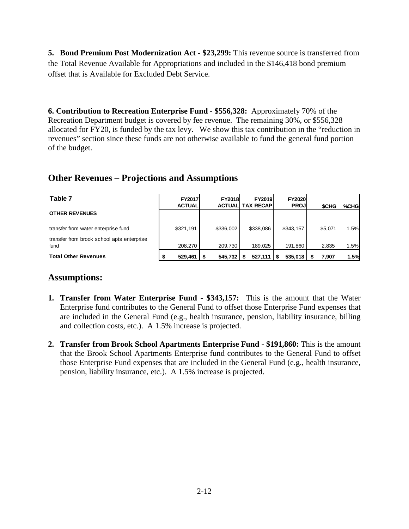**5. Bond Premium Post Modernization Act - \$23,299:** This revenue source is transferred from the Total Revenue Available for Appropriations and included in the \$146,418 bond premium offset that is Available for Excluded Debt Service.

**6. Contribution to Recreation Enterprise Fund - \$556,328:** Approximately 70% of the Recreation Department budget is covered by fee revenue. The remaining 30%, or \$556,328 allocated for FY20, is funded by the tax levy. We show this tax contribution in the "reduction in revenues" section since these funds are not otherwise available to fund the general fund portion of the budget.

#### **Other Revenues – Projections and Assumptions**

| Table 7                                            | <b>FY2017</b><br><b>ACTUAL</b> | <b>FY2018</b><br><b>ACTUAL</b> | <b>FY2019</b><br><b>TAX RECAPI</b> | <b>FY2020</b><br><b>PROJ</b> | <b>SCHG</b> | %CHG |
|----------------------------------------------------|--------------------------------|--------------------------------|------------------------------------|------------------------------|-------------|------|
| <b>OTHER REVENUES</b>                              |                                |                                |                                    |                              |             |      |
| transfer from water enterprise fund                | \$321.191                      | \$336,002                      | \$338.086                          | \$343.157                    | \$5.071     | 1.5% |
| transfer from brook school apts enterprise<br>fund | 208.270                        | 209.730                        | 189.025                            | 191.860                      | 2,835       | 1.5% |
| <b>Total Other Revenues</b>                        | 529,461                        | 545,732                        | 527,111                            | 535,018                      | 7,907       | 1.5% |

#### **Assumptions:**

- **1. Transfer from Water Enterprise Fund - \$343,157:** This is the amount that the Water Enterprise fund contributes to the General Fund to offset those Enterprise Fund expenses that are included in the General Fund (e.g., health insurance, pension, liability insurance, billing and collection costs, etc.). A 1.5% increase is projected.
- **2. Transfer from Brook School Apartments Enterprise Fund - \$191,860:** This is the amount that the Brook School Apartments Enterprise fund contributes to the General Fund to offset those Enterprise Fund expenses that are included in the General Fund (e.g., health insurance, pension, liability insurance, etc.). A 1.5% increase is projected.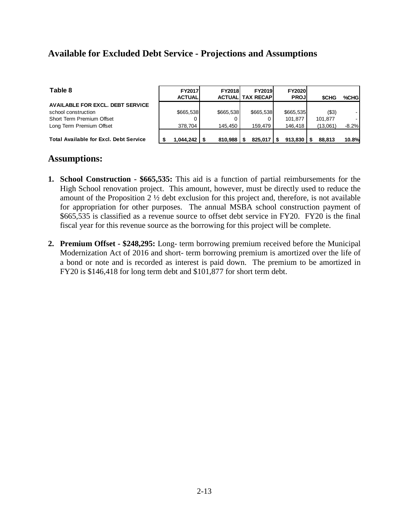#### **Available for Excluded Debt Service - Projections and Assumptions**

| Table 8                                       | <b>FY2017</b><br><b>ACTUAL</b> | <b>FY2018</b> | <b>FY2019</b><br><b>ACTUALI TAX RECAPI</b> | <b>FY2020</b><br><b>PROJ</b> | <b>SCHG</b> | %CHG         |
|-----------------------------------------------|--------------------------------|---------------|--------------------------------------------|------------------------------|-------------|--------------|
| <b>AVAILABLE FOR EXCL. DEBT SERVICE</b>       |                                |               |                                            |                              |             |              |
| school construction                           | \$665,538                      | \$665.538     | \$665,538                                  | \$665.535                    | ( \$3)      |              |
| Short Term Premium Offset                     |                                |               |                                            | 101.877                      | 101.877     |              |
| Long Term Premium Offset                      | 378.704                        | 145.450       | 159.479                                    | 146.418                      | (13,061)    | $-8.2%$      |
| <b>Total Available for Excl. Debt Service</b> | 1.044.242                      | 810.988       | 825.017                                    | 913.830                      | 88,813      | <b>10.8%</b> |

#### **Assumptions:**

- **1. School Construction - \$665,535:** This aid is a function of partial reimbursements for the High School renovation project. This amount, however, must be directly used to reduce the amount of the Proposition 2 ½ debt exclusion for this project and, therefore, is not available for appropriation for other purposes. The annual MSBA school construction payment of \$665,535 is classified as a revenue source to offset debt service in FY20. FY20 is the final fiscal year for this revenue source as the borrowing for this project will be complete.
- **2. Premium Offset - \$248,295:** Long- term borrowing premium received before the Municipal Modernization Act of 2016 and short- term borrowing premium is amortized over the life of a bond or note and is recorded as interest is paid down. The premium to be amortized in FY20 is \$146,418 for long term debt and \$101,877 for short term debt.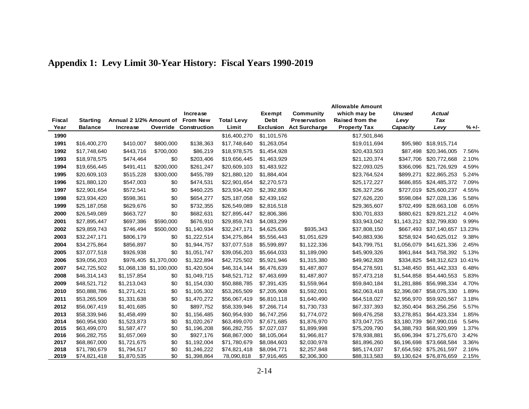|              |                 |                         |                         |                              |                   |                  |                      | <b>Allowable Amount</b> |                            |                              |                |
|--------------|-----------------|-------------------------|-------------------------|------------------------------|-------------------|------------------|----------------------|-------------------------|----------------------------|------------------------------|----------------|
|              |                 |                         |                         | Increase                     |                   | Exempt           | Community            | which may be            | <b>Unused</b>              | <b>Actual</b>                |                |
| Fiscal       | <b>Starting</b> | Annual 2 1/2% Amount of |                         | <b>From New</b>              | <b>Total Levy</b> | <b>Debt</b>      | <b>Preservation</b>  | Raised from the         | Levy                       | <b>Tax</b>                   |                |
| Year         | <b>Balance</b>  | Increase                |                         | <b>Override Construction</b> | Limit             | <b>Exclusion</b> | <b>Act Surcharge</b> | <b>Property Tax</b>     | Capacity                   | Levy                         | $% +/-$        |
| 1990         |                 |                         |                         |                              | \$16,400,270      | \$1,101,576      |                      | \$17,501,846            |                            |                              |                |
| 1991         | \$16,400,270    | \$410,007               | \$800,000               | \$138,363                    | \$17,748,640      | \$1,263,054      |                      | \$19,011,694            | \$95,980                   | \$18,915,714                 |                |
| 1992         | \$17,748,640    | \$443,716               | \$700,000               | \$86,219                     | \$18,978,575      | \$1,454,928      |                      | \$20,433,503            | \$87,498                   | \$20,346,005                 | 7.56%          |
| 1993         | \$18,978,575    | \$474,464               | \$0                     | \$203,406                    | \$19,656,445      | \$1,463,929      |                      | \$21,120,374            | \$347,706                  | \$20,772,668                 | 2.10%          |
| 1994         | \$19,656,445    | \$491,411               | \$200,000               | \$261,247                    | \$20,609,103      | \$1,483,922      |                      | \$22,093,025            | \$366,096                  | \$21,726,929                 | 4.59%          |
| 1995         | \$20,609,103    | \$515,228               | \$300,000               | \$455,789                    | \$21,880,120      | \$1,884,404      |                      | \$23,764,524            | \$899,271                  | \$22,865,253                 | 5.24%          |
| 1996         | \$21,880,120    | \$547,003               | \$0                     | \$474,531                    | \$22,901,654      | \$2,270,573      |                      | \$25,172,227            | \$686,855                  | \$24,485,372                 | 7.09%          |
| 1997         | \$22,901,654    | \$572,541               | \$0                     | \$460,225                    | \$23,934,420      | \$2,392,836      |                      | \$26,327,256            | \$727,019                  | \$25,600,237                 | 4.55%          |
| 1998         | \$23,934,420    | \$598,361               | \$0                     | \$654,277                    | \$25,187,058      | \$2,439,162      |                      | \$27,626,220            | \$598,084                  | \$27,028,136                 | 5.58%          |
| 1999         | \$25,187,058    | \$629,676               | \$0                     | \$732,355                    | \$26,549,089      | \$2,816,518      |                      | \$29,365,607            | \$702,499                  | \$28,663,108                 | 6.05%          |
| 2000         | \$26,549,089    | \$663,727               | \$0                     | \$682,631                    | \$27,895,447      | \$2,806,386      |                      | \$30,701,833            | \$880,621                  | \$29,821,212                 | 4.04%          |
| 2001         | \$27,895,447    | \$697,386               | \$590,000               | \$676,910                    | \$29,859,743      | \$4,083,299      |                      | \$33,943,042            | \$1,143,212                | \$32,799,830                 | 9.99%          |
| 2002         | \$29,859,743    | \$746,494               | \$500,000               | \$1,140,934                  | \$32,247,171      | \$4,625,636      | \$935,343            | \$37,808,150            | \$667,493                  | \$37,140,657 13.23%          |                |
| 2003         | \$32,247,171    | \$806,179               | \$0                     | \$1,222,514                  | \$34,275,864      | \$5,556,443      | \$1,051,629          | \$40,883,936            | \$258,924                  | \$40,625,012                 | 9.38%          |
| 2004         | \$34,275,864    | \$856,897               | \$0                     | \$1,944,757                  | \$37,077,518      | \$5,599,897      | \$1,122,336          | \$43,799,751            | \$1,056,079                | \$41,621,336                 | 2.45%          |
| 2005         | \$37,077,518    | \$926,938               | \$0                     | \$1,051,747                  | \$39,056,203      | \$5,664,033      | \$1,189,090          | \$45,909,326            | \$961,844                  | \$43,758,392                 | 5.13%          |
| 2006         | \$39,056,203    |                         | \$976,405 \$1,370,000   | \$1,322,894                  | \$42,725,502      | \$5,921,946      | \$1,315,380          | \$49,962,828            | \$334,825                  | \$48,312,623 10.41%          |                |
| 2007         | \$42,725,502    |                         | \$1,068,138 \$1,100,000 | \$1,420,504                  | \$46,314,144      | \$6,476,639      | \$1,487,807          | \$54,278,591            | \$1,348,450                | \$51,442,333                 | 6.48%          |
| 2008         | \$46,314,143    | \$1,157,854             | \$0                     | \$1,049,715                  | \$48,521,712      | \$7,463,699      | \$1,487,807          | \$57,473,218            | \$1,544,858                | \$54,440,553                 | 5.83%          |
| 2009         | \$48,521,712    | \$1,213,043             | \$0                     | \$1,154,030                  | \$50,888,785      | \$7,391,435      | \$1,559,964          | \$59,840,184            | \$1,281,886                | \$56,998,334                 | 4.70%          |
| 2010         | \$50,888,786    | \$1,271,421             | \$0                     | \$1,105,302                  | \$53,265,509      | \$7,205,908      | \$1,592,001          | \$62,063,418            | \$2,396,087                | \$58,075,330                 | 1.89%          |
| 2011         | \$53,265,509    | \$1,331,638             | \$0                     | \$1,470,272                  | \$56,067,419      | \$6,810,118      | \$1,640,490          | \$64,518,027            | \$2,956,970                | \$59,920,567                 | 3.18%          |
| 2012         | \$56,067,419    | \$1,401,685             | \$0                     | \$897,752                    | \$58,339,946      | \$7,266,714      | \$1,730,733          | \$67,337,393            | \$2,350,404                | \$63,256,256                 | 5.57%          |
| 2013         | \$58,339,946    | \$1,458,499             | \$0                     | \$1,156,485                  | \$60,954,930      | \$6,747,256      | \$1,774,072          | \$69,476,258            | \$3,278,851                | \$64,423,334                 | 1.85%          |
| 2014         | \$60,954,930    | \$1,523,873             | \$0                     | \$1,020,267                  | \$63,499,070      | \$7,671,685      | \$1,876,970          | \$73,047,725            | \$3,180,739                | \$67,990,016                 | 5.54%          |
| 2015         | \$63,499,070    | \$1,587,477             | \$0                     | \$1,196,208                  | \$66,282,755      | \$7,027,037      | \$1,899,998          | \$75,209,790            | \$4,388,793                | \$68,920,999                 | 1.37%          |
| 2016         | \$66,282,755    | \$1,657,069             | \$0                     | \$927,176                    | \$68,867,000      | \$8,105,064      | \$1,966,817          | \$78,938,881            | \$5,696,394                | \$71,275,670                 | 3.42%          |
| 2017         | \$68,867,000    | \$1,721,675             | \$0                     | \$1,192,004                  | \$71,780,679      | \$8,084,603      | \$2,030,978          | \$81,896,260            | \$6,196,698                | \$73,668,584                 | 3.36%          |
| 2018<br>2019 | \$71,780,679    | \$1,794,517             | \$0<br>\$0              | \$1,246,222<br>\$1,398,864   | \$74,821,418      | \$8,094,771      | \$2,257,848          | \$85,174,037            | \$7,654,592<br>\$9,130,624 | \$75,261,597<br>\$76,876,659 | 2.16%<br>2.15% |
|              | \$74,821,418    | \$1,870,535             |                         |                              | 78,090,818        | \$7,916,465      | \$2,306,300          | \$88,313,583            |                            |                              |                |

### **Appendix 1: Levy Limit 30-Year History: Fiscal Years 1990-2019**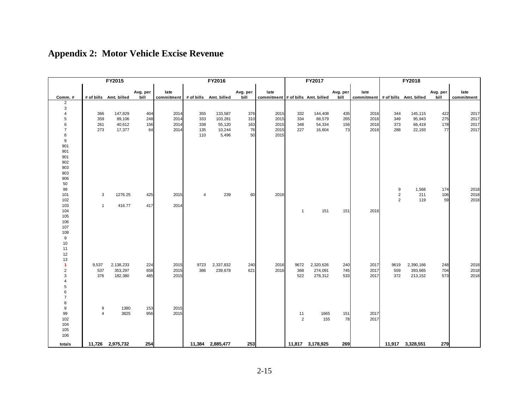|                       |                | FY2015                 |          |                                   |                         | FY2016           |          |                                   |                      | FY2017           |           |                                   |                | FY2018           |          |            |
|-----------------------|----------------|------------------------|----------|-----------------------------------|-------------------------|------------------|----------|-----------------------------------|----------------------|------------------|-----------|-----------------------------------|----------------|------------------|----------|------------|
|                       |                |                        | Avg. per | late                              |                         |                  | Avg. per | late                              |                      |                  | Avg. per  | late                              |                |                  | Avg. per | late       |
| Comm.#                |                | # of bills Amt. billed | bill     | commitment # of bills Amt. billed |                         |                  | bill     | commitment # of bills Amt. billed |                      |                  | bill      | commitment # of bills Amt. billed |                |                  | bill     | commitment |
| $\overline{2}$        |                |                        |          |                                   |                         |                  |          |                                   |                      |                  |           |                                   |                |                  |          |            |
| 3<br>$\overline{4}$   | 366            | 147,829                | 404      | 2014                              | 355                     | 133,587          | 376      | 2015                              | 332                  | 144,408          | 435       | 2016                              | 344            | 145,115          | 422      | 2017       |
| 5                     | 359            | 89,106                 | 248      | 2014                              | 333                     | 103,281          | 310      | 2015                              | 334                  | 88,579           | 265       | 2016                              | 349            | 95,943           | 275      | 2017       |
| 6                     | 261            | 40,612                 | 156      | 2014                              | 338                     | 55,120           | 163      | 2015                              | 348                  | 54,334           | 156       | 2016                              | 373            | 66,419           | 178      | 2017       |
| $\overline{7}$        | 273            | 17,377                 | 64       | 2014                              | 135                     | 10,244           | 76       | 2015                              | 227                  | 16,604           | 73        | 2016                              | 288            | 22,193           | 77       | 2017       |
| 8<br>$\boldsymbol{9}$ |                |                        |          |                                   | 110                     | 5,496            | 50       | 2015                              |                      |                  |           |                                   |                |                  |          |            |
| 901                   |                |                        |          |                                   |                         |                  |          |                                   |                      |                  |           |                                   |                |                  |          |            |
| 901                   |                |                        |          |                                   |                         |                  |          |                                   |                      |                  |           |                                   |                |                  |          |            |
| 901                   |                |                        |          |                                   |                         |                  |          |                                   |                      |                  |           |                                   |                |                  |          |            |
| 902                   |                |                        |          |                                   |                         |                  |          |                                   |                      |                  |           |                                   |                |                  |          |            |
| 903                   |                |                        |          |                                   |                         |                  |          |                                   |                      |                  |           |                                   |                |                  |          |            |
| 903<br>906            |                |                        |          |                                   |                         |                  |          |                                   |                      |                  |           |                                   |                |                  |          |            |
| 50                    |                |                        |          |                                   |                         |                  |          |                                   |                      |                  |           |                                   |                |                  |          |            |
| 99                    |                |                        |          |                                   |                         |                  |          |                                   |                      |                  |           |                                   | 9              | 1,568            | 174      | 2018       |
| 101                   | 3              | 1276.25                | 425      | 2015                              | $\overline{\mathbf{A}}$ | 239              | 60       | 2016                              |                      |                  |           |                                   | $\overline{2}$ | 211              | 106      | 2018       |
| 102                   |                |                        |          |                                   |                         |                  |          |                                   |                      |                  |           |                                   | $\overline{2}$ | 119              | 59       | 2018       |
| 103<br>104            | $\overline{1}$ | 416.77                 | 417      | 2014                              |                         |                  |          |                                   | $\mathbf{1}$         | 151              | 151       | 2016                              |                |                  |          |            |
| 105                   |                |                        |          |                                   |                         |                  |          |                                   |                      |                  |           |                                   |                |                  |          |            |
| 106                   |                |                        |          |                                   |                         |                  |          |                                   |                      |                  |           |                                   |                |                  |          |            |
| 107                   |                |                        |          |                                   |                         |                  |          |                                   |                      |                  |           |                                   |                |                  |          |            |
| 108                   |                |                        |          |                                   |                         |                  |          |                                   |                      |                  |           |                                   |                |                  |          |            |
| 9<br>10               |                |                        |          |                                   |                         |                  |          |                                   |                      |                  |           |                                   |                |                  |          |            |
| 11                    |                |                        |          |                                   |                         |                  |          |                                   |                      |                  |           |                                   |                |                  |          |            |
| 12                    |                |                        |          |                                   |                         |                  |          |                                   |                      |                  |           |                                   |                |                  |          |            |
| 13                    |                |                        |          |                                   |                         |                  |          |                                   |                      |                  |           |                                   |                |                  |          |            |
| $\blacktriangleleft$  | 9,537          | 2,138,233              | 224      | 2015                              | 9723                    | 2,337,832        | 240      | 2016                              | 9672                 | 2,320,626        | 240       | 2017                              | 9619           | 2,390,166        | 248      | 2018       |
| $\overline{c}$        | 537            | 353,297                | 658      | 2015                              | 386                     | 239,678          | 621      | 2016                              | 368                  | 274,091          | 745       | 2017                              | 559            | 393,665          | 704      | 2018       |
| 3<br>$\overline{4}$   | 376            | 182,380                | 485      | 2015                              |                         |                  |          |                                   | 522                  | 278,312          | 533       | 2017                              | 372            | 213,152          | 573      | 2018       |
| 5                     |                |                        |          |                                   |                         |                  |          |                                   |                      |                  |           |                                   |                |                  |          |            |
| 6                     |                |                        |          |                                   |                         |                  |          |                                   |                      |                  |           |                                   |                |                  |          |            |
| $\overline{7}$        |                |                        |          |                                   |                         |                  |          |                                   |                      |                  |           |                                   |                |                  |          |            |
| 8                     |                |                        |          |                                   |                         |                  |          |                                   |                      |                  |           |                                   |                |                  |          |            |
| 9                     | 9<br>$\Delta$  | 1380                   | 153      | 2015                              |                         |                  |          |                                   |                      |                  |           |                                   |                |                  |          |            |
| 99<br>102             |                | 3825                   | 956      | 2015                              |                         |                  |          |                                   | 11<br>$\overline{c}$ | 1665<br>155      | 151<br>78 | 2017<br>2017                      |                |                  |          |            |
| 104                   |                |                        |          |                                   |                         |                  |          |                                   |                      |                  |           |                                   |                |                  |          |            |
| 105                   |                |                        |          |                                   |                         |                  |          |                                   |                      |                  |           |                                   |                |                  |          |            |
| 106                   |                |                        |          |                                   |                         |                  |          |                                   |                      |                  |           |                                   |                |                  |          |            |
| totals                |                | 11,726 2,975,732       | 254      |                                   |                         | 11,384 2,885,477 | 253      |                                   |                      | 11,817 3,178,925 | 269       |                                   |                | 11,917 3,328,551 | 279      |            |

### **Appendix 2: Motor Vehicle Excise Revenue**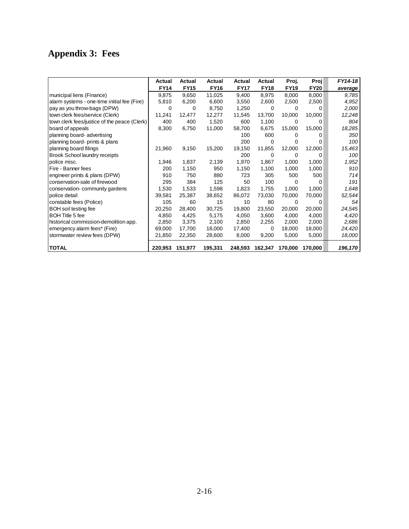# **Appendix 3: Fees**

|                                              | Actual      | Actual      | Actual      | Actual      | Actual      | Proj.       | Proj        | FY14-18 |
|----------------------------------------------|-------------|-------------|-------------|-------------|-------------|-------------|-------------|---------|
|                                              | <b>FY14</b> | <b>FY15</b> | <b>FY16</b> | <b>FY17</b> | <b>FY18</b> | <b>FY19</b> | <b>FY20</b> | average |
| municipal liens (Finance)                    | 9,875       | 9,650       | 11,025      | 9,400       | 8,975       | 8,000       | 8,000       | 9,785   |
| alarm systems - one-time initial fee (Fire)  | 5,810       | 6,200       | 6,600       | 3,550       | 2,600       | 2,500       | 2,500       | 4,952   |
| pay as you throw-bags (DPW)                  | 0           | 0           | 8,750       | 1,250       | 0           | 0           | 0           | 2,000   |
| town clerk fees/service (Clerk)              | 11,241      | 12,477      | 12,277      | 11,545      | 13,700      | 10,000      | 10,000      | 12,248  |
| town clerk fees/justice of the peace (Clerk) | 400         | 400         | 1,520       | 600         | 1,100       | 0           | 0           | 804     |
| board of appeals                             | 8,300       | 6,750       | 11,000      | 58,700      | 6,675       | 15,000      | 15,000      | 18,285  |
| planning board-advertising                   |             |             |             | 100         | 600         | 0           | 0           | 350     |
| planning board- prints & plans               |             |             |             | 200         | 0           | 0           | 0           | 100     |
| planning board filings                       | 21,960      | 9,150       | 15,200      | 19,150      | 11,855      | 12,000      | 12,000      | 15,463  |
| Brook School laundry receipts                |             |             |             | 200         | 0           | 0           | 0           | 100     |
| police misc.                                 | 1,946       | 1,837       | 2,139       | 1,970       | 1,867       | 1,000       | 1,000       | 1,952   |
| Fire - Banner fees                           | 200         | 1,150       | 950         | 1,150       | 1,100       | 1,000       | 1,000       | 910     |
| engineer prints & plans (DPW)                | 910         | 750         | 880         | 723         | 305         | 500         | 500         | 714     |
| conservation-sale of firewood                | 295         | 384         | 125         | 50          | 100         | $\Omega$    | 0           | 191     |
| conservation-community gardens               | 1,530       | 1,533       | 1,598       | 1,823       | 1,755       | 1,000       | 1,000       | 1,648   |
| police detail                                | 39,581      | 25,387      | 38,652      | 86,072      | 73,030      | 70,000      | 70,000      | 52,544  |
| constable fees (Police)                      | 105         | 60          | 15          | 10          | 80          | 0           | 0           | 54      |
| <b>BOH</b> soil testing fee                  | 20,250      | 28,400      | 30,725      | 19,800      | 23,550      | 20,000      | 20,000      | 24,545  |
| <b>BOH Title 5 fee</b>                       | 4,850       | 4,425       | 5,175       | 4,050       | 3,600       | 4,000       | 4,000       | 4,420   |
| historical commission-demolition app.        | 2,850       | 3,375       | 2,100       | 2,850       | 2,255       | 2,000       | 2,000       | 2,686   |
| emergency alarm fees* (Fire)                 | 69,000      | 17,700      | 18,000      | 17,400      | 0           | 18,000      | 18,000      | 24,420  |
| stormwater review fees (DPW)                 | 21,850      | 22,350      | 28,600      | 8,000       | 9,200       | 5,000       | 5,000       | 18,000  |
| <b>TOTAL</b>                                 | 220,953     | 151,977     | 195,331     | 248,593     | 162,347     | 170,000     | 170.000     | 196,170 |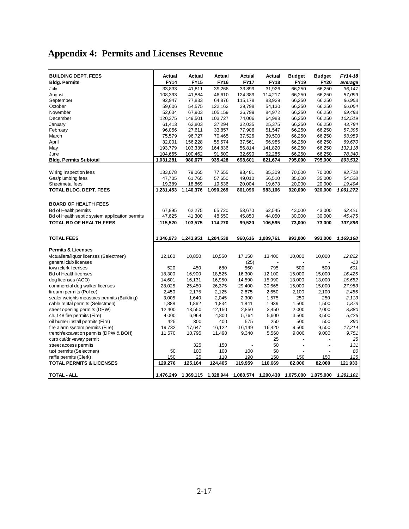# **Appendix 4: Permits and Licenses Revenue**

| <b>BUILDING DEPT. FEES</b>                     | Actual      | Actual      | Actual      | Actual      | Actual                                                                | <b>Budget</b>            | <b>Budget</b> | FY14-18   |
|------------------------------------------------|-------------|-------------|-------------|-------------|-----------------------------------------------------------------------|--------------------------|---------------|-----------|
| <b>Bldg. Permits</b>                           | <b>FY14</b> | <b>FY15</b> | <b>FY16</b> | <b>FY17</b> | <b>FY18</b>                                                           | <b>FY19</b>              | <b>FY20</b>   | average   |
| July                                           | 33,833      | 41,811      | 39,268      | 33,899      | 31,926                                                                | 66,250                   | 66,250        | 36.147    |
| August                                         | 108,393     | 41,884      | 46,610      | 124,389     | 114,217                                                               | 66,250                   | 66,250        | 87,099    |
| September                                      | 92,947      | 77,833      | 64,876      | 115,178     | 83,929                                                                | 66,250                   | 66,250        | 86,953    |
| October                                        | 59,606      | 54,575      | 122,162     | 39,798      | 54,130                                                                | 66,250                   | 66,250        | 66,054    |
| November                                       | 52,634      | 67,903      | 105,159     | 36,799      | 84,972                                                                | 66,250                   | 66,250        | 69,493    |
| December                                       | 120,375     | 149,501     | 103,727     | 74,006      | 64,988                                                                | 66,250                   | 66,250        | 102,519   |
| January                                        | 61,413      | 62,803      | 37,294      | 32,035      | 25,375                                                                | 66,250                   | 66,250        | 43,784    |
| February                                       | 96,056      | 27,611      | 33,857      | 77,906      | 51,547                                                                | 66,250                   | 66,250        | 57,395    |
| March                                          | 75,579      | 96,727      | 70,465      | 37,526      | 39,500                                                                | 66,250                   | 66,250        | 63,959    |
| April                                          | 32,001      | 156,228     | 55,574      | 37,561      | 66,985                                                                | 66,250                   | 66,250        | 69,670    |
| May                                            | 193,779     | 103,339     | 164,836     | 56,814      | 141,820                                                               | 66,250                   | 66,250        | 132,118   |
| June                                           | 104,665     | 100,462     | 91,600      | 32,690      | 62,285                                                                | 66,250                   | 66,250        | 78,340    |
| <b>Bldg. Permits Subtotal</b>                  | 1,031,281   | 980,677     | 935,428     | 698,601     | 821,674                                                               | 795,000                  | 795,000       | 893,532   |
|                                                |             |             |             |             |                                                                       |                          |               |           |
| Wiring inspection fees                         | 133,078     | 79,065      | 77,655      | 93,481      | 85,309                                                                | 70,000                   | 70,000        | 93,718    |
| Gas/plumbing fees                              | 47,705      | 61,765      | 57,650      | 49,010      | 56,510                                                                | 35,000                   | 35,000        | 54,528    |
| Sheetmetal fees                                | 19,389      | 18,869      | 19,536      | 20,004      | 19,673                                                                | 20,000                   | 20,000        | 19,494    |
| <b>TOTAL BLDG. DEPT. FEES</b>                  | 1,231,453   | 1,140,376   | 1,090,269   | 861,096     | 983,166                                                               | 920,000                  | 920,000       | 1,061,272 |
|                                                |             |             |             |             |                                                                       |                          |               |           |
| <b>BOARD OF HEALTH FEES</b>                    |             |             |             |             |                                                                       |                          |               |           |
| <b>Bd of Health permits</b>                    | 67,895      | 62,275      | 65,720      | 53,670      | 62,545                                                                | 43,000                   | 43,000        | 62,421    |
| Bd of Health septic system application permits | 47,625      | 41,300      | 48,550      | 45,850      | 44,050                                                                | 30,000                   | 30,000        | 45,475    |
| <b>TOTAL BD OF HEALTH FEES</b>                 | 115,520     | 103,575     | 114,270     | 99,520      | 106,595                                                               | 73,000                   | 73,000        | 107,896   |
|                                                |             |             |             |             |                                                                       |                          |               |           |
| <b>TOTAL FEES</b>                              | 1,346,973   | 1,243,951   | 1,204,539   | 960,616     | 1,089,761                                                             | 993,000                  | 993,000       | 1,169,168 |
|                                                |             |             |             |             |                                                                       |                          |               |           |
| <b>Permits &amp; Licenses</b>                  |             |             |             |             |                                                                       |                          |               |           |
| victuallers/liquor licenses (Selectmen)        | 12,160      | 10,850      | 10,550      | 17,150      | 13,400                                                                | 10,000                   | 10,000        | 12,822    |
| general club licenses                          |             |             |             | (25)        |                                                                       |                          |               | $-13$     |
| town clerk licenses                            | 520         | 450         | 680         | 560         | 795                                                                   | 500                      | 500           | 601       |
| <b>Bd of Health licenses</b>                   | 18,300      | 16,900      | 18,525      | 16,300      | 12,100                                                                | 15,000                   | 15,000        | 16.425    |
| dog licenses (ACO)                             | 14,601      | 16,131      | 16,950      | 14,590      | 15,990                                                                | 13,000                   | 13,000        | 15,652    |
| commercial dog walker licenses                 | 28,025      | 25,450      | 26,375      | 29,400      | 30,665                                                                | 15,000                   | 15,000        | 27,983    |
| firearm permits (Police)                       | 2,450       | 2,175       | 2,125       | 2,875       | 2,650                                                                 | 2,100                    | 2,100         | 2,455     |
| sealer weights measures permits (Building)     | 3,005       | 1,640       | 2,045       | 2,300       | 1,575                                                                 | 250                      | 250           | 2,113     |
| cable rental permits (Selectmen)               | 1,888       | 1,862       | 1,834       | 1,841       | 1,939                                                                 | 1,500                    | 1,500         | 1,873     |
| street opening permits (DPW)                   | 12,400      | 13,550      | 12,150      | 2,850       | 3,450                                                                 | 2,000                    | 2,000         | 8,880     |
| ch. 148 fire permits (Fire)                    | 4,000       | 6,964       | 4,800       | 5,764       | 5,600                                                                 | 3,500                    | 3,500         | 5,426     |
| oil burner install permits (Fire)              | 425         | 300         | 400         | 575         | 250                                                                   | 500                      | 500           | 390       |
| fire alarm system permits (Fire)               | 19,732      | 17,647      | 16,122      | 16,149      | 16,420                                                                | 9,500                    | 9,500         | 17,214    |
| trench/excavation permits (DPW & BOH)          | 11,570      | 10,795      | 11,490      | 9,340       | 5,560                                                                 | 9,000                    | 9,000         | 9,751     |
| curb cut/driveway permit                       |             |             |             |             | 25                                                                    |                          |               | 25        |
| street access permits                          |             | 325         | 150         |             | 50                                                                    | $\overline{\phantom{a}}$ | ÷,            | 131       |
| taxi permits (Selectmen)                       | 50          | 100         | 100         | 100         | 50                                                                    |                          |               | 80        |
| raffle permits (Clerk)                         | 150         | 25          | 110         | 190         | 150                                                                   | 150                      | 150           | 125       |
| <b>TOTAL PERMITS &amp; LICENSES</b>            | 129,276     | 125,164     | 124,405     | 119,959     | 110,669                                                               | 82,000                   | 82,000        | 121,933   |
| <b>TOTAL - ALL</b>                             |             |             |             |             | 1,476,249 1,369,115 1,328,944 1,080,574 1,200,430 1,075,000 1,075,000 |                          |               | 1,291,101 |
|                                                |             |             |             |             |                                                                       |                          |               |           |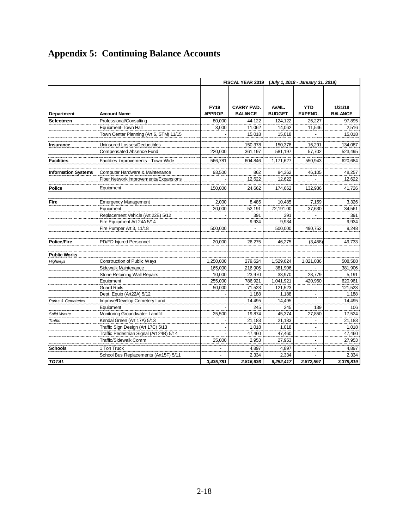# **Appendix 5: Continuing Balance Accounts**

|                            |                                          | (July 1, 2018 - January 31, 2019)<br><b>FISCAL YEAR 2019</b> |                                     |                         |                              |                           |
|----------------------------|------------------------------------------|--------------------------------------------------------------|-------------------------------------|-------------------------|------------------------------|---------------------------|
| Department                 | <b>Account Name</b>                      | <b>FY19</b><br>APPROP.                                       | <b>CARRY FWD.</b><br><b>BALANCE</b> | AVAIL.<br><b>BUDGET</b> | <b>YTD</b><br><b>EXPEND.</b> | 1/31/18<br><b>BALANCE</b> |
| Selectmen                  | Professional/Consulting                  | 80,000                                                       | 44.122                              | 124,122                 | 26,227                       | 97,895                    |
|                            | Equipment-Town Hall                      | 3,000                                                        | 11,062                              | 14,062                  | 11,546                       | 2,516                     |
|                            | Town Center Planning (Art 6, STM) 11/15  |                                                              | 15,018                              | 15,018                  |                              | 15,018                    |
| Insurance                  | Uninsured Losses/Deductibles             |                                                              | 150,378                             | 150,378                 | 16,291                       | 134,087                   |
|                            | Compensated Absence Fund                 | 220,000                                                      | 361,197                             | 581,197                 | 57,702                       | 523,495                   |
| <b>Facilities</b>          | Facilities Improvements - Town-Wide      | 566.781                                                      | 604.846                             | 1,171,627               | 550,943                      | 620,684                   |
| <b>Information Systems</b> | Computer Hardware & Maintenance          | 93,500                                                       | 862                                 | 94,362                  | 46,105                       | 48,257                    |
|                            | Fiber Network Improvements/Expansions    |                                                              | 12.622                              | 12.622                  |                              | 12,622                    |
| Police                     | Equipment                                | 150,000                                                      | 24,662                              | 174,662                 | 132,936                      | 41,726                    |
| Fire                       | <b>Emergency Management</b>              | 2.000                                                        | 8.485                               | 10.485                  | 7,159                        | 3,326                     |
|                            | Equipment                                | 20,000                                                       | 52.191                              | 72,191.00               | 37,630                       | 34,561                    |
|                            | Replacement Vehicle (Art 22E) 5/12       |                                                              | 391                                 | 391                     |                              | 391                       |
|                            | Fire Equipment Art 24A 5/14              |                                                              | 9,934                               | 9,934                   | $\overline{a}$               | 9,934                     |
|                            | Fire Pumper Art 3, 11/18                 | 500,000                                                      |                                     | 500,000                 | 490,752                      | 9,248                     |
| <b>Police/Fire</b>         | PD/FD Injured Personnel                  | 20,000                                                       | 26,275                              | 46,275                  | (3, 458)                     | 49,733                    |
| <b>Public Works</b>        |                                          |                                                              |                                     |                         |                              |                           |
| Highways                   | <b>Construction of Public Ways</b>       | 1,250,000                                                    | 279,624                             | 1,529,624               | 1,021,036                    | 508,588                   |
|                            | Sidewalk Maintenance                     | 165,000                                                      | 216,906                             | 381,906                 |                              | 381.906                   |
|                            | <b>Stone Retaining Wall Repairs</b>      | 10,000                                                       | 23,970                              | 33,970                  | 28,779                       | 5,191                     |
|                            | Equipment                                | 255,000                                                      | 786,921                             | 1,041,921               | 420,960                      | 620,961                   |
|                            | <b>Guard Rails</b>                       | 50.000                                                       | 71.523                              | 121.523                 | $\overline{a}$               | 121.523                   |
|                            | Dept. Equip (Art22A) 5/12                |                                                              | 1,188                               | 1,188                   |                              | 1,188                     |
| Parks & Cemeteries         | Improve/Develop Cemetery Land            |                                                              | 14,495                              | 14,495                  | $\overline{a}$               | 14,495                    |
|                            | Equipment                                |                                                              | 245                                 | 245                     | 139                          | 106                       |
| Solid Waste                | Monitoring Groundwater-Landfill          | 25,500                                                       | 19,874                              | 45,374                  | 27,850                       | 17,524                    |
| Traffic                    | Kendal Green (Art 17A) 5/13              |                                                              | 21,183                              | 21,183                  |                              | 21,183                    |
|                            | Traffic Sign Design (Art 17C) 5/13       |                                                              | 1,018                               | 1,018                   |                              | 1,018                     |
|                            | Traffic Pedestrian Signal (Art 24B) 5/14 |                                                              | 47,460                              | 47,460                  | $\blacksquare$               | 47,460                    |
|                            | Traffic/Sidewalk Comm                    | 25,000                                                       | 2,953                               | 27,953                  | $\blacksquare$               | 27,953                    |
| <b>Schools</b>             | 1 Ton Truck                              | $\blacksquare$                                               | 4,897                               | 4,897                   | $\blacksquare$               | 4,897                     |
|                            | School Bus Replacements (Art15F) 5/11    |                                                              | 2,334                               | 2,334                   |                              | 2,334                     |
| <b>TOTAL</b>               |                                          | 3,435,781                                                    | 2,816,636                           | 6,252,417               | 2,872,597                    | 3,379,819                 |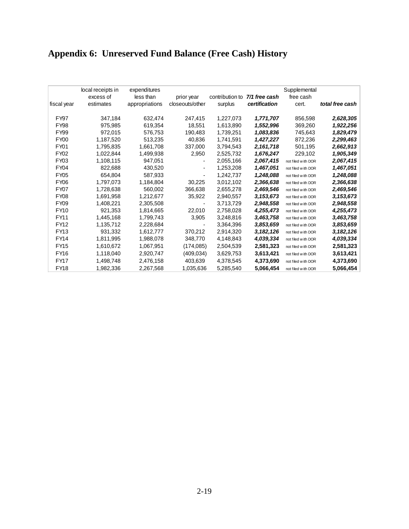### **Appendix 6: Unreserved Fund Balance (Free Cash) History**

|             | local receipts in | expenditures   |                 |                 |               | Supplemental       |                 |
|-------------|-------------------|----------------|-----------------|-----------------|---------------|--------------------|-----------------|
|             | excess of         | less than      | prior year      | contribution to | 7/1 free cash | free cash          |                 |
| fiscal year | estimates         | appropriations | closeouts/other | surplus         | certification | cert.              | total free cash |
| <b>FY97</b> | 347,184           | 632,474        | 247,415         | 1,227,073       | 1,771,707     | 856,598            | 2,628,305       |
| <b>FY98</b> | 975,985           | 619,354        | 18,551          | 1,613,890       | 1,552,996     | 369,260            | 1,922,256       |
| <b>FY99</b> | 972,015           | 576,753        | 190,483         | 1,739,251       | 1,083,836     | 745.643            | 1,829,479       |
| <b>FY00</b> | 1,187,520         | 513,235        | 40,836          | 1,741,591       | 1,427,227     | 872,236            | 2,299,463       |
| <b>FY01</b> | 1,795,835         | 1,661,708      | 337,000         | 3,794,543       | 2,161,718     | 501,195            | 2,662,913       |
| FY02        | 1,022,844         | 1,499,938      | 2,950           | 2,525,732       | 1,676,247     | 229,102            | 1,905,349       |
| FY03        | 1,108,115         | 947,051        |                 | 2,055,166       | 2,067,415     | not filed with DOR | 2,067,415       |
| <b>FY04</b> | 822,688           | 430,520        |                 | 1,253,208       | 1,467,051     | not filed with DOR | 1,467,051       |
| <b>FY05</b> | 654.804           | 587.933        |                 | 1,242,737       | 1,248,088     | not filed with DOR | 1,248,088       |
| <b>FY06</b> | 1.797.073         | 1,184,804      | 30,225          | 3,012,102       | 2,366,638     | not filed with DOR | 2,366,638       |
| FY07        | 1,728,638         | 560,002        | 366,638         | 2,655,278       | 2,469,546     | not filed with DOR | 2,469,546       |
| <b>FY08</b> | 1.691.958         | 1,212,677      | 35,922          | 2,940,557       | 3,153,673     | not filed with DOR | 3,153,673       |
| <b>FY09</b> | 1,408,221         | 2,305,508      |                 | 3,713,729       | 2,948,558     | not filed with DOR | 2,948,558       |
| FY10        | 921.353           | 1,814,665      | 22,010          | 2,758,028       | 4,255,473     | not filed with DOR | 4,255,473       |
| <b>FY11</b> | 1,445,168         | 1.799.743      | 3,905           | 3.248.816       | 3,463,758     | not filed with DOR | 3,463,758       |
| FY12        | 1,135,712         | 2,228,684      |                 | 3,364,396       | 3,853,659     | not filed with DOR | 3,853,659       |
| FY13        | 931,332           | 1,612,777      | 370,212         | 2,914,320       | 3,182,126     | not filed with DOR | 3,182,126       |
| <b>FY14</b> | 1,811,995         | 1,988,078      | 348,770         | 4,148,843       | 4,039,334     | not filed with DOR | 4,039,334       |
| <b>FY15</b> | 1,610,672         | 1,067,951      | (174, 085)      | 2,504,539       | 2,581,323     | not filed with DOR | 2,581,323       |
| <b>FY16</b> | 1,118,040         | 2,920,747      | (409, 034)      | 3,629,753       | 3,613,421     | not filed with DOR | 3,613,421       |
| <b>FY17</b> | 1,498,748         | 2,476,158      | 403,639         | 4.378.545       | 4,373,690     | not filed with DOR | 4,373,690       |
| <b>FY18</b> | 1,982,336         | 2,267,568      | 1,035,636       | 5,285,540       | 5,066,454     | not filed with DOR | 5,066,454       |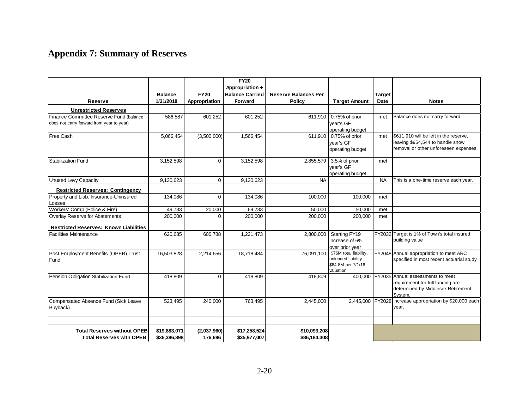### **Appendix 7: Summary of Reserves**

|                                                                                      |                |               | <b>FY20</b><br>Appropriation + |                             |                                                                                 |               |                                                                                                                        |
|--------------------------------------------------------------------------------------|----------------|---------------|--------------------------------|-----------------------------|---------------------------------------------------------------------------------|---------------|------------------------------------------------------------------------------------------------------------------------|
|                                                                                      | <b>Balance</b> | <b>FY20</b>   | <b>Balance Carried</b>         | <b>Reserve Balances Per</b> |                                                                                 | <b>Target</b> |                                                                                                                        |
| Reserve                                                                              | 1/31/2018      | Appropriation | Forward                        | <b>Policy</b>               | <b>Target Amount</b>                                                            | Date          | <b>Notes</b>                                                                                                           |
| <b>Unrestricted Reserves</b>                                                         |                |               |                                |                             |                                                                                 |               |                                                                                                                        |
| Finance Committee Reserve Fund (balance<br>does not carry forward from year to year) | 586,587        | 601,252       | 601,252                        | 611,910                     | 0.75% of prior<br>vear's GF<br>operating budget                                 | met           | Balance does not carry forward                                                                                         |
| Free Cash                                                                            | 5,066,454      | (3,500,000)   | 1,566,454                      | 611,910                     | 0.75% of prior<br>vear's GF<br>operating budget                                 | met           | \$611.910 will be left in the reserve.<br>leaving \$954,544 to handle snow<br>removal or other unforeseen expenses.    |
| <b>Stabilization Fund</b>                                                            | 3,152,598      | $\Omega$      | 3,152,598                      | 2,855,579                   | 3.5% of prior<br>vear's GF<br>operating budget                                  | met           |                                                                                                                        |
| <b>Unused Levy Capacity</b>                                                          | 9,130,623      | $\Omega$      | 9,130,623                      | <b>NA</b>                   |                                                                                 | <b>NA</b>     | This is a one-time reserve each year.                                                                                  |
| <b>Restricted Reserves: Contingency</b>                                              |                |               |                                |                             |                                                                                 |               |                                                                                                                        |
| Property and Liab. Insurance-Uninsured<br>Losses                                     | 134,086        | $\Omega$      | 134,086                        | 100,000                     | 100,000                                                                         | met           |                                                                                                                        |
| Workers' Comp (Police & Fire)                                                        | 49,733         | 20,000        | 69,733                         | 50,000                      | 50,000                                                                          | met           |                                                                                                                        |
| Overlay Reserve for Abatements                                                       | 200.000        | $\Omega$      | 200.000                        | 200.000                     | 200.000                                                                         | met           |                                                                                                                        |
| <b>Restricted Reserves: Known Liabilities</b>                                        |                |               |                                |                             |                                                                                 |               |                                                                                                                        |
| <b>Facilities Maintenance</b>                                                        | 620,685        | 600,788       | 1,221,473                      | 2,800,000                   | Starting FY19<br>increase of 6%<br>over prior year                              |               | FY2032 Target is 1% of Town's total insured<br>building value                                                          |
| Post Employment Benefits (OPEB) Trust<br>Fund                                        | 16,503,828     | 2,214,656     | 18,718,484                     | 76,091,100                  | \$76M total liability,<br>unfunded liability<br>\$64.8M per 7/1/16<br>valuation |               | FY2048 Annual appropriation to meet ARC<br>specified in most recent actuarial study                                    |
| Pension Obligation Stabilization Fund                                                | 418,809        | $\Omega$      | 418,809                        | 418,809                     | 400,000                                                                         |               | FY2035 Annual assessments to meet<br>requirement for full funding are<br>determined by Middlesex Retirement<br>System. |
| Compensated Absence Fund (Sick Leave<br>Buyback)                                     | 523,495        | 240,000       | 763,495                        | 2,445,000                   | 2,445,000                                                                       | FY2028        | Increase appropriation by \$20,000 each<br>year.                                                                       |
|                                                                                      |                |               |                                |                             |                                                                                 |               |                                                                                                                        |
| <b>Total Reserves without OPEB</b>                                                   | \$19,883,071   | (2,037,960)   | \$17,258,524                   | \$10,093,208                |                                                                                 |               |                                                                                                                        |
| <b>Total Reserves with OPEB</b>                                                      | \$36,386,898   | 176,696       | \$35,977,007                   | \$86,184,308                |                                                                                 |               |                                                                                                                        |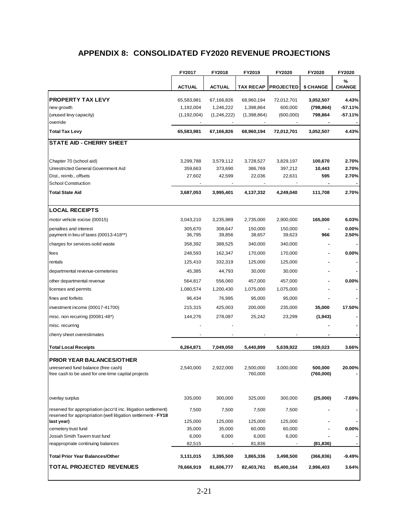#### **APPENDIX 8: CONSOLIDATED FY2020 REVENUE PROJECTIONS**

|                                                                                                                                 | FY2017            | FY2018            | FY2019               | FY2020                   | FY2020               | FY2020             |
|---------------------------------------------------------------------------------------------------------------------------------|-------------------|-------------------|----------------------|--------------------------|----------------------|--------------------|
|                                                                                                                                 | <b>ACTUAL</b>     | <b>ACTUAL</b>     | <b>TAX RECAP</b>     | <b>PROJECTED</b>         | \$ CHANGE            | %<br><b>CHANGE</b> |
| <b>PROPERTY TAX LEVY</b>                                                                                                        | 65,583,981        | 67,166,826        | 68,960,194           | 72,012,701               | 3,052,507            | 4.43%              |
| new growth                                                                                                                      | 1,192,004         | 1,246,222         | 1,398,864            | 600,000                  | (798, 864)           | -57.11%            |
| (unused levy capacity)                                                                                                          | (1, 192, 004)     | (1,246,222)       | (1,398,864)          | (600,000)                | 798,864              | -57.11%            |
| override                                                                                                                        |                   |                   |                      |                          |                      |                    |
| <b>Total Tax Levy</b>                                                                                                           | 65,583,981        | 67,166,826        | 68,960,194           | 72,012,701               | 3,052,507            | 4.43%              |
| <b>STATE AID - CHERRY SHEET</b>                                                                                                 |                   |                   |                      |                          |                      |                    |
| Chapter 70 (school aid)                                                                                                         | 3,299,788         | 3,579,112         | 3,728,527            | 3,829,197                | 100,670              | 2.70%              |
| Unrestricted General Government Aid                                                                                             | 359,663           | 373,690           | 386,769              | 397,212                  | 10,443               | 2.70%              |
| Dist., reimb., offsets                                                                                                          | 27,602            | 42,599            | 22,036               | 22,631                   | 595                  | 2.70%              |
| <b>School Construction</b>                                                                                                      |                   |                   |                      | $\overline{\phantom{a}}$ |                      |                    |
| <b>Total State Aid</b>                                                                                                          | 3,687,053         | 3,995,401         | 4,137,332            | 4,249,040                | 111,708              | 2.70%              |
| <b>LOCAL RECEIPTS</b>                                                                                                           |                   |                   |                      |                          |                      |                    |
| motor vehicle excise (00015)                                                                                                    | 3,043,210         | 3,235,989         | 2,735,000            | 2,900,000                | 165,000              | 6.03%              |
| penalties and interest<br>payment in lieu of taxes (00013-418**)                                                                | 305,670<br>36,795 | 308,647<br>39,856 | 150,000<br>38,657    | 150,000<br>39,623        | 966                  | $0.00\%$<br>2.50%  |
| charges for services-solid waste                                                                                                | 358,392           | 388,525           | 340,000              | 340,000                  |                      |                    |
| fees                                                                                                                            | 248,593           | 162,347           | 170,000              | 170,000                  |                      | $0.00\%$           |
| rentals                                                                                                                         | 125,410           | 332,319           | 125,000              | 125,000                  |                      |                    |
| departmental revenue-cemeteries                                                                                                 | 45,385            | 44,793            | 30,000               | 30,000                   |                      |                    |
| other departmental revenue                                                                                                      | 564,817           | 556,060           | 457,000              | 457,000                  |                      | $0.00\%$           |
| licenses and permits                                                                                                            | 1,080,574         | 1,200,430         | 1,075,000            | 1,075,000                |                      |                    |
| fines and forfeits                                                                                                              | 96,434            | 76,995            | 95,000               | 95,000                   |                      |                    |
| investment income (00017-41700)                                                                                                 | 215,315           | 425,003           | 200,000              | 235,000                  | 35,000               | 17.50%             |
| misc. non recurring (00081-48*)                                                                                                 | 144,276           | 278,087           | 25,242               | 23,299                   | (1, 943)             |                    |
| misc. recurring                                                                                                                 |                   |                   |                      |                          |                      |                    |
| cherry sheet overestimates                                                                                                      |                   |                   |                      |                          |                      |                    |
| <b>Total Local Receipts</b>                                                                                                     | 6,264,871         | 7,049,050         | 5,440,899            | 5,639,922                | 199,023              | 3.66%              |
| <b>PRIOR YEAR BALANCES/OTHER</b>                                                                                                |                   |                   |                      |                          |                      |                    |
| unreserved fund balance (free cash)<br>free cash to be used for one-time capital projects                                       | 2,540,000         | 2,922,000         | 2,500,000<br>760,000 | 3,000,000                | 500,000<br>(760,000) | 20.00%             |
| overlay surplus                                                                                                                 | 335,000           | 300,000           | 325,000              | 300,000                  | (25,000)             | $-7.69%$           |
| reserved for appropriation (accr'd inc. litigation settlement)<br>reserved for appropriation (well litigation settlement - FY18 | 7,500             | 7,500             | 7,500                | 7,500                    |                      |                    |
| last year)                                                                                                                      | 125,000           | 125,000           | 125,000              | 125,000                  |                      |                    |
| cemetery trust fund                                                                                                             | 35,000            | 35,000            | 60,000               | 60,000                   |                      | $0.00\%$           |
| Josiah Smith Tavern trust fund<br>reappropriate continuing balances                                                             | 6,000<br>82,515   | 6,000             | 6,000<br>81,836      | 6,000                    | (81, 836)            |                    |
|                                                                                                                                 |                   |                   |                      |                          |                      |                    |
| <b>Total Prior Year Balances/Other</b>                                                                                          | 3,131,015         | 3,395,500         | 3,865,336            | 3,498,500                | (366, 836)           | $-9.49%$           |
| <b>TOTAL PROJECTED REVENUES</b>                                                                                                 | 78,666,919        | 81,606,777        | 82,403,761           | 85,400,164               | 2,996,403            | 3.64%              |